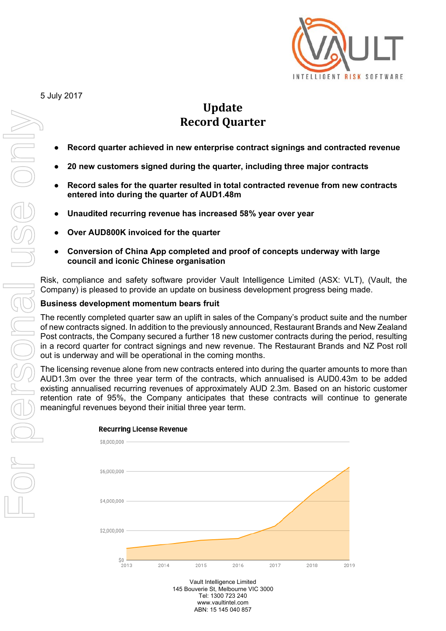

# Update **Record Quarter**

- **Record quarter achieved in new enterprise contract signings and contracted revenue**
- **20 new customers signed during the quarter, including three major contracts**
- Record sales for the quarter resulted in total contracted revenue from new contracts **entered into during the quarter of AUD1.48m**
- **Unaudited recurring revenue has increased 58% year over year**
- **Over AUD800K invoiced for the quarter**
- **Conversion of China App completed and proof of concepts underway with large council and iconic Chinese organisation**

Risk, compliance and safety software provider Vault Intelligence Limited (ASX: VLT), (Vault, the Company) is pleased to provide an update on business development progress being made.

# **Business development momentum bears fruit**

The recently completed quarter saw an uplift in sales of the Company's product suite and the number of new contracts signed. In addition to the previously announced, Restaurant Brands and New Zealand Post contracts, the Company secured a further 18 new customer contracts during the period, resulting in a record quarter for contract signings and new revenue. The Restaurant Brands and NZ Post roll out is underway and will be operational in the coming months.

The licensing revenue alone from new contracts entered into during the quarter amounts to more than AUD1.3m over the three year term of the contracts, which annualised is AUD0.43m to be added existing annualised recurring revenues of approximately AUD 2.3m. Based on an historic customer retention rate of 95%, the Company anticipates that these contracts will continue to generate



Vault Intelligence Limited 145 Bouverie St, Melbourne VIC 3000 Tel: 1300 723 240 www.vaultintel.com ABN: 15 145 040 857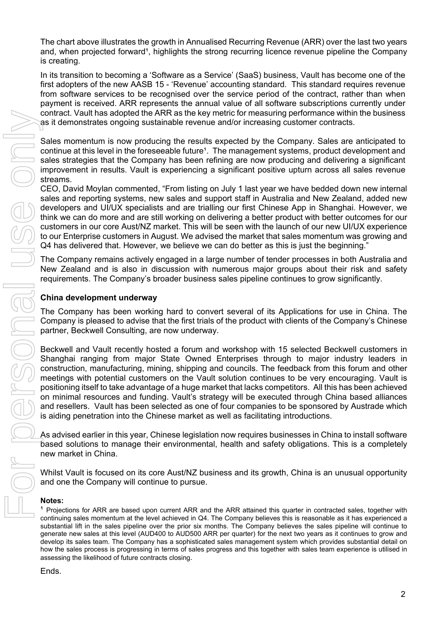The chart above illustrates the growth in Annualised Recurring Revenue (ARR) over the last two years and, when projected forward<sup>1</sup>, highlights the strong recurring licence revenue pipeline the Company is creating.

In its transition to becoming a 'Software as a Service' (SaaS) business, Vault has become one of the first adopters of the new AASB 15 - 'Revenue' accounting standard. This standard requires revenue from software services to be recognised over the service period of the contract, rather than when payment is received. ARR represents the annual value of all software subscriptions currently under contract. Vault has adopted the ARR as the key metric for measuring performance within the business as it demonstrates ongoing sustainable revenue and/or increasing customer contracts.

Sales momentum is now producing the results expected by the Company. Sales are anticipated to continue at this level in the foreseeable future<sup>1</sup>. The management systems, product development and sales strategies that the Company has been refining are now producing and delivering a significant improvement in results. Vault is experiencing a significant positive upturn across all sales revenue streams.

CEO, David Moylan commented, "From listing on July 1 last year we have bedded down new internal sales and reporting systems, new sales and support staff in Australia and New Zealand, added new developers and UI/UX specialists and are trialling our first Chinese App in Shanghai. However, we think we can do more and are still working on delivering a better product with better outcomes for our customers in our core Aust/NZ market. This will be seen with the launch of our new UI/UX experience to our Enterprise customers in August. We advised the market that sales momentum was growing and Q4 has delivered that. However, we believe we can do better as this is just the beginning."

The Company remains actively engaged in a large number of tender processes in both Australia and New Zealand and is also in discussion with numerous major groups about their risk and safety requirements. The Company's broader business sales pipeline continues to grow significantly.

# **China development underway**

The Company has been working hard to convert several of its Applications for use in China. The Company is pleased to advise that the first trials of the product with clients of the Company's Chinese partner, Beckwell Consulting, are now underway.

Beckwell and Vault recently hosted a forum and workshop with 15 selected Beckwell customers in Shanghai ranging from major State Owned Enterprises through to major industry leaders in construction, manufacturing, mining, shipping and councils. The feedback from this forum and other meetings with potential customers on the Vault solution continues to be very encouraging. Vault is positioning itself to take advantage of a huge market that lacks competitors. All this has been achieved on minimal resources and funding. Vault's strategy will be executed through China based alliances and resellers. Vault has been selected as one of four companies to be sponsored by Austrade which is aiding penetration into the Chinese market as well as facilitating introductions.

As advised earlier in this year, Chinese legislation now requires businesses in China to install software based solutions to manage their environmental, health and safety obligations. This is a completely new market in China.

Whilst Vault is focused on its core Aust/NZ business and its growth, China is an unusual opportunity and one the Company will continue to pursue.

## **Notes:**

<sup>1</sup> Projections for ARR are based upon current ARR and the ARR attained this quarter in contracted sales, together with continuing sales momentum at the level achieved in Q4. The Company believes this is reasonable as it has experienced a substantial lift in the sales pipeline over the prior six months. The Company believes the sales pipeline will continue to generate new sales at this level (AUD400 to AUD500 ARR per quarter) for the next two years as it continues to grow and develop its sales team. The Company has a sophisticated sales management system which provides substantial detail on how the sales process is progressing in terms of sales progress and this together with sales team experience is utilised in assessing the likelihood of future contracts closing.

#### Ends.